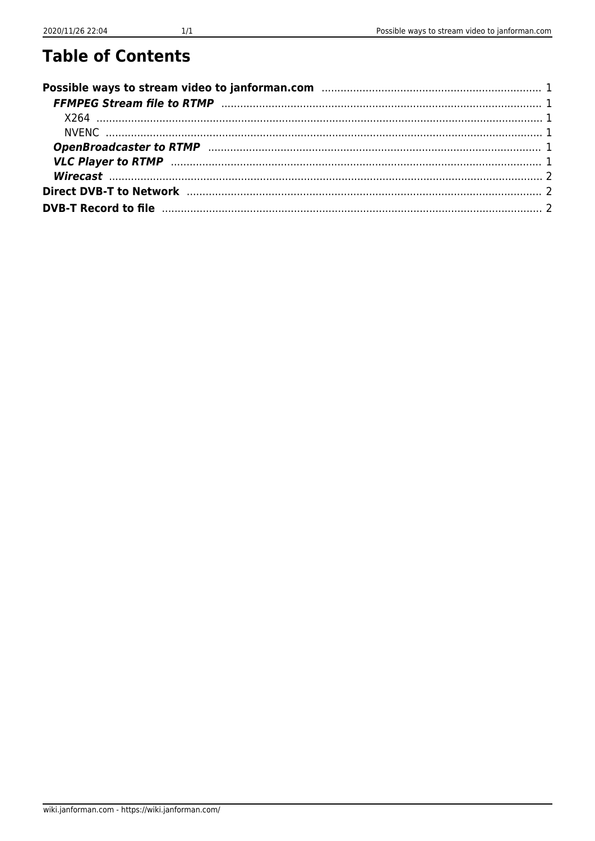## **Table of Contents**

| FFMPEG Stream file to RTMP (111) 1999) (12) 12 and 13 and 14 and 15 and 16 and 16 and 16 and 17 and 17 and 17 and 17 and 17 and 17 and 17 and 17 and 17 and 17 and 17 and 17 and 17 and 17 and 17 and 17 and 17 and 17 and 17 |  |
|-------------------------------------------------------------------------------------------------------------------------------------------------------------------------------------------------------------------------------|--|
|                                                                                                                                                                                                                               |  |
|                                                                                                                                                                                                                               |  |
|                                                                                                                                                                                                                               |  |
|                                                                                                                                                                                                                               |  |
|                                                                                                                                                                                                                               |  |
| <b>Direct DVB-T to Network measure and the control of the Network of the Network of the Control of the Control of A</b>                                                                                                       |  |
|                                                                                                                                                                                                                               |  |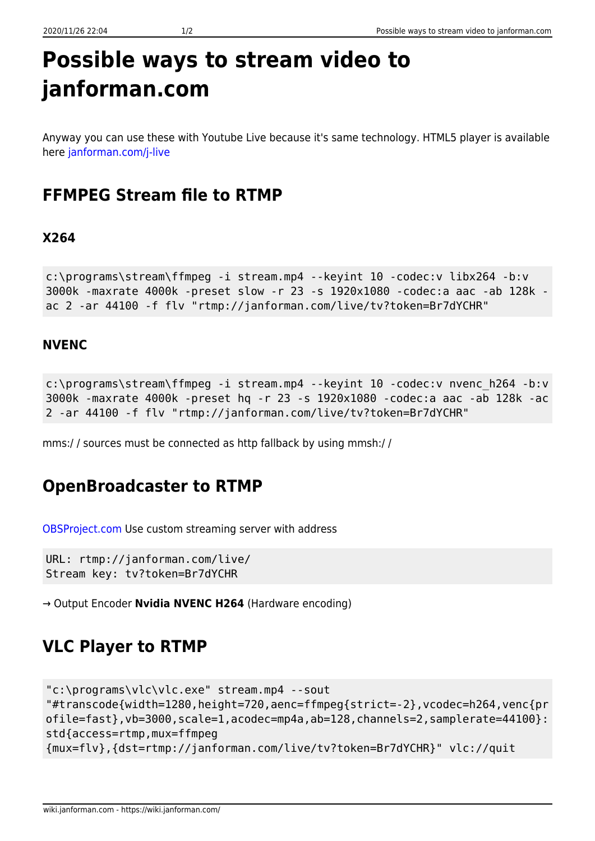<span id="page-1-0"></span>Anyway you can use these with Youtube Live because it's same technology. HTML5 player is available here [janforman.com/j-live](http://janforman.com/j-live)

## <span id="page-1-1"></span>**FFMPEG Stream file to RTMP**

#### <span id="page-1-2"></span>**X264**

```
c:\programs\stream\ffmpeg -i stream.mp4 --keyint 10 -codec:v libx264 -b:v
3000k -maxrate 4000k -preset slow -r 23 -s 1920x1080 -codec:a aac -ab 128k -
ac 2 -ar 44100 -f flv "rtmp://janforman.com/live/tv?token=Br7dYCHR"
```
#### <span id="page-1-3"></span>**NVENC**

```
c:\programs\stream\ffmpeg -i stream.mp4 --keyint 10 -codec:v nvenc_h264 -b:v
3000k -maxrate 4000k -preset hq -r 23 -s 1920x1080 -codec:a aac -ab 128k -ac
2 -ar 44100 -f flv "rtmp://janforman.com/live/tv?token=Br7dYCHR"
```
mms:/ / sources must be connected as http fallback by using mmsh:/ /

#### <span id="page-1-4"></span>**OpenBroadcaster to RTMP**

[OBSProject.com](https://obsproject.com) Use custom streaming server with address

URL: rtmp://janforman.com/live/ Stream key: tv?token=Br7dYCHR

→ Output Encoder **Nvidia NVENC H264** (Hardware encoding)

## <span id="page-1-5"></span>**VLC Player to RTMP**

```
"c:\programs\vlc\vlc.exe" stream.mp4 --sout
"#transcode{width=1280,height=720,aenc=ffmpeg{strict=-2},vcodec=h264,venc{pr
ofile=fast}, vb=3000, scale=1, acodec=mp4a, ab=128, channels=2, samplerate=44100}:
std{access=rtmp,mux=ffmpeg
{mux=flv},{dst=rtmp://janforman.com/live/tv?token=Br7dYCHR}" vlc://quit
```